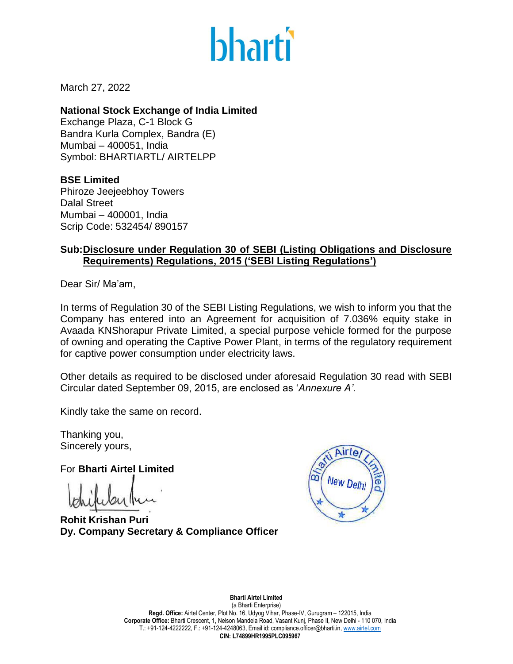

March 27, 2022

**National Stock Exchange of India Limited** Exchange Plaza, C-1 Block G Bandra Kurla Complex, Bandra (E) Mumbai – 400051, India Symbol: BHARTIARTL/ AIRTELPP

**BSE Limited** Phiroze Jeejeebhoy Towers Dalal Street Mumbai – 400001, India Scrip Code: 532454/ 890157

## **Sub:Disclosure under Regulation 30 of SEBI (Listing Obligations and Disclosure Requirements) Regulations, 2015 ('SEBI Listing Regulations')**

Dear Sir/ Ma'am,

In terms of Regulation 30 of the SEBI Listing Regulations, we wish to inform you that the Company has entered into an Agreement for acquisition of 7.036% equity stake in Avaada KNShorapur Private Limited, a special purpose vehicle formed for the purpose of owning and operating the Captive Power Plant, in terms of the regulatory requirement for captive power consumption under electricity laws.

Other details as required to be disclosed under aforesaid Regulation 30 read with SEBI Circular dated September 09, 2015, are enclosed as '*Annexure A'*.

Kindly take the same on record.

Thanking you, Sincerely yours,

For **Bharti Airtel Limited**

**Rohit Krishan Puri Dy. Company Secretary & Compliance Officer**



**Bharti Airtel Limited**  (a Bharti Enterprise) **Regd. Office:** Airtel Center, Plot No. 16, Udyog Vihar, Phase-IV, Gurugram – 122015, India **Corporate Office:** Bharti Crescent, 1, Nelson Mandela Road, Vasant Kunj, Phase II, New Delhi - 110 070, India T.: +91-124-4222222, F.: +91-124-4248063, Email id: compliance.officer@bharti.in[, www.airtel.com](http://www.airtel.com/) **CIN: L74899HR1995PLC095967**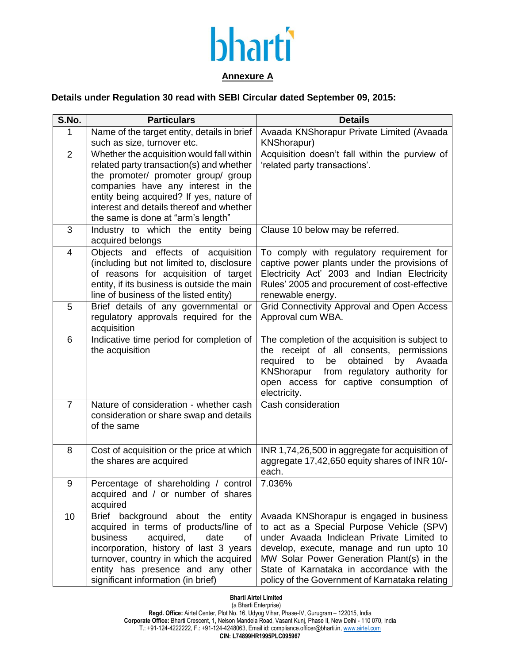

## **Annexure A**

## **Details under Regulation 30 read with SEBI Circular dated September 09, 2015:**

| S.No.          | <b>Particulars</b>                                                                                                                                                                                                                                                                               | <b>Details</b>                                                                                                                                                                                                                                                                                                             |
|----------------|--------------------------------------------------------------------------------------------------------------------------------------------------------------------------------------------------------------------------------------------------------------------------------------------------|----------------------------------------------------------------------------------------------------------------------------------------------------------------------------------------------------------------------------------------------------------------------------------------------------------------------------|
| 1              | Name of the target entity, details in brief<br>such as size, turnover etc.                                                                                                                                                                                                                       | Avaada KNShorapur Private Limited (Avaada<br><b>KNShorapur)</b>                                                                                                                                                                                                                                                            |
| $\overline{2}$ | Whether the acquisition would fall within<br>related party transaction(s) and whether<br>the promoter/ promoter group/ group<br>companies have any interest in the<br>entity being acquired? If yes, nature of<br>interest and details thereof and whether<br>the same is done at "arm's length" | Acquisition doesn't fall within the purview of<br>'related party transactions'.                                                                                                                                                                                                                                            |
| 3              | Industry to which the entity being<br>acquired belongs                                                                                                                                                                                                                                           | Clause 10 below may be referred.                                                                                                                                                                                                                                                                                           |
| $\overline{4}$ | Objects and effects of acquisition<br>(including but not limited to, disclosure<br>of reasons for acquisition of target<br>entity, if its business is outside the main<br>line of business of the listed entity)                                                                                 | To comply with regulatory requirement for<br>captive power plants under the provisions of<br>Electricity Act' 2003 and Indian Electricity<br>Rules' 2005 and procurement of cost-effective<br>renewable energy.                                                                                                            |
| 5              | Brief details of any governmental or<br>regulatory approvals required for the<br>acquisition                                                                                                                                                                                                     | Grid Connectivity Approval and Open Access<br>Approval cum WBA.                                                                                                                                                                                                                                                            |
| 6              | Indicative time period for completion of<br>the acquisition                                                                                                                                                                                                                                      | The completion of the acquisition is subject to<br>the receipt of all consents,<br>permissions<br>required<br>obtained<br>be<br>by<br>Avaada<br>to<br>KNShorapur<br>from regulatory authority for<br>open access for captive consumption of<br>electricity.                                                                |
| $\overline{7}$ | Nature of consideration - whether cash<br>consideration or share swap and details<br>of the same                                                                                                                                                                                                 | Cash consideration                                                                                                                                                                                                                                                                                                         |
| 8              | Cost of acquisition or the price at which<br>the shares are acquired                                                                                                                                                                                                                             | INR 1,74,26,500 in aggregate for acquisition of<br>aggregate 17,42,650 equity shares of INR 10/-<br>each.                                                                                                                                                                                                                  |
| 9              | Percentage of shareholding / control<br>acquired and / or number of shares<br>acquired                                                                                                                                                                                                           | 7.036%                                                                                                                                                                                                                                                                                                                     |
| 10             | Brief background about the entity<br>acquired in terms of products/line of<br>business<br>acquired,<br>date<br>of<br>incorporation, history of last 3 years<br>turnover, country in which the acquired<br>entity has presence and any other<br>significant information (in brief)                | Avaada KNShorapur is engaged in business<br>to act as a Special Purpose Vehicle (SPV)<br>under Avaada Indiclean Private Limited to<br>develop, execute, manage and run upto 10<br>MW Solar Power Generation Plant(s) in the<br>State of Karnataka in accordance with the<br>policy of the Government of Karnataka relating |